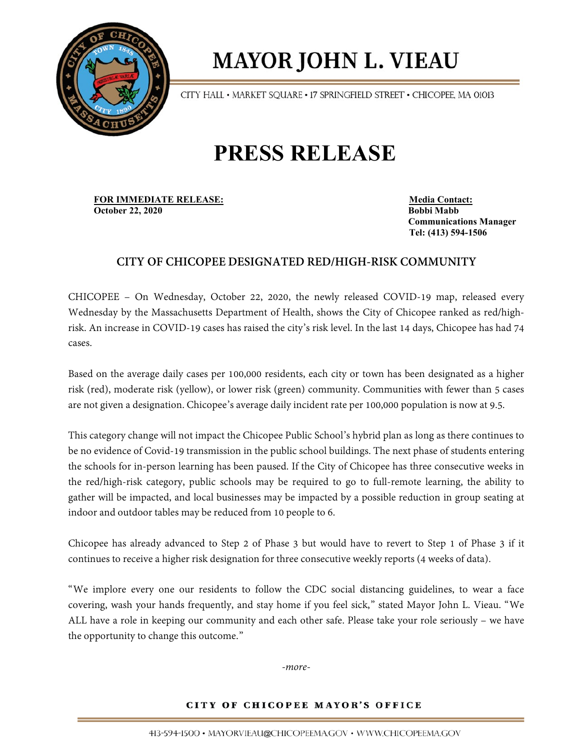

# **MAYOR JOHN L. VIEAU**

CITY HALL • MARKET SQUARE • 17 SPRINGFIELD STREET • CHICOPEE, MA 01013

## **PRESS RELEASE**

**FOR IMMEDIATE RELEASE:** Media Contact: **October 22, 2020 Bobbi Mabb**

 **Communications Manager Tel: (413) 594-1506**

## **CITY OF CHICOPEE DESIGNATED RED/HIGH-RISK COMMUNITY**

CHICOPEE – On Wednesday, October 22, 2020, the newly released COVID-19 map, released every Wednesday by the Massachusetts Department of Health, shows the City of Chicopee ranked as red/highrisk. An increase in COVID-19 cases has raised the city's risk level. In the last 14 days, Chicopee has had 74 cases.

Based on the average daily cases per 100,000 residents, each city or town has been designated as a higher risk (red), moderate risk (yellow), or lower risk (green) community. Communities with fewer than 5 cases are not given a designation. Chicopee's average daily incident rate per 100,000 population is now at 9.5.

This category change will not impact the Chicopee Public School's hybrid plan as long as there continues to be no evidence of Covid-19 transmission in the public school buildings. The next phase of students entering the schools for in-person learning has been paused. If the City of Chicopee has three consecutive weeks in the red/high-risk category, public schools may be required to go to full-remote learning, the ability to gather will be impacted, and local businesses may be impacted by a possible reduction in group seating at indoor and outdoor tables may be reduced from 10 people to 6.

Chicopee has already advanced to Step 2 of Phase 3 but would have to revert to Step 1 of Phase 3 if it continues to receive a higher risk designation for three consecutive weekly reports (4 weeks of data).

"We implore every one our residents to follow the CDC social distancing guidelines, to wear a face covering, wash your hands frequently, and stay home if you feel sick," stated Mayor John L. Vieau. "We ALL have a role in keeping our community and each other safe. Please take your role seriously – we have the opportunity to change this outcome."

*-more-*

### CITY OF CHICOPEE MAYOR'S OFFICE